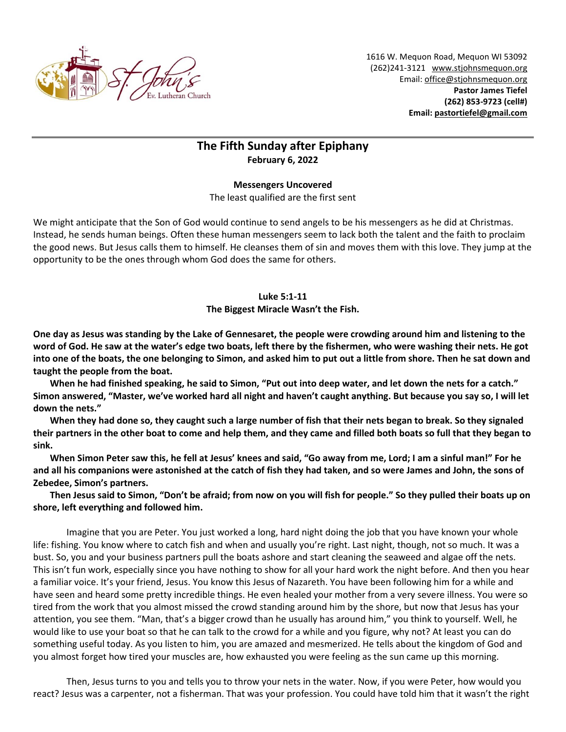

1616 W. Mequon Road, Mequon WI 53092 (262)241-3121 [www.stjohnsmequon.org](http://www.stjohnsmequon.org/) Email[: office@stjohnsmequon.org](mailto:office@stjohnsmequon.org) **Pastor James Tiefel (262) 853-9723 (cell#) Email: [pastortiefel@gmail.com](mailto:pastortiefel@gmail.com)**

## **The Fifth Sunday after Epiphany February 6, 2022**

## **Messengers Uncovered**

The least qualified are the first sent

We might anticipate that the Son of God would continue to send angels to be his messengers as he did at Christmas. Instead, he sends human beings. Often these human messengers seem to lack both the talent and the faith to proclaim the good news. But Jesus calls them to himself. He cleanses them of sin and moves them with this love. They jump at the opportunity to be the ones through whom God does the same for others.

## **Luke 5:1-11**

**The Biggest Miracle Wasn't the Fish.**

**One day as Jesus was standing by the Lake of Gennesaret, the people were crowding around him and listening to the word of God. He saw at the water's edge two boats, left there by the fishermen, who were washing their nets. He got into one of the boats, the one belonging to Simon, and asked him to put out a little from shore. Then he sat down and taught the people from the boat.** 

**When he had finished speaking, he said to Simon, "Put out into deep water, and let down the nets for a catch." Simon answered, "Master, we've worked hard all night and haven't caught anything. But because you say so, I will let down the nets."** 

**When they had done so, they caught such a large number of fish that their nets began to break. So they signaled their partners in the other boat to come and help them, and they came and filled both boats so full that they began to sink.** 

**When Simon Peter saw this, he fell at Jesus' knees and said, "Go away from me, Lord; I am a sinful man!" For he and all his companions were astonished at the catch of fish they had taken, and so were James and John, the sons of Zebedee, Simon's partners.**

**Then Jesus said to Simon, "Don't be afraid; from now on you will fish for people." So they pulled their boats up on shore, left everything and followed him.**

Imagine that you are Peter. You just worked a long, hard night doing the job that you have known your whole life: fishing. You know where to catch fish and when and usually you're right. Last night, though, not so much. It was a bust. So, you and your business partners pull the boats ashore and start cleaning the seaweed and algae off the nets. This isn't fun work, especially since you have nothing to show for all your hard work the night before. And then you hear a familiar voice. It's your friend, Jesus. You know this Jesus of Nazareth. You have been following him for a while and have seen and heard some pretty incredible things. He even healed your mother from a very severe illness. You were so tired from the work that you almost missed the crowd standing around him by the shore, but now that Jesus has your attention, you see them. "Man, that's a bigger crowd than he usually has around him," you think to yourself. Well, he would like to use your boat so that he can talk to the crowd for a while and you figure, why not? At least you can do something useful today. As you listen to him, you are amazed and mesmerized. He tells about the kingdom of God and you almost forget how tired your muscles are, how exhausted you were feeling as the sun came up this morning.

Then, Jesus turns to you and tells you to throw your nets in the water. Now, if you were Peter, how would you react? Jesus was a carpenter, not a fisherman. That was your profession. You could have told him that it wasn't the right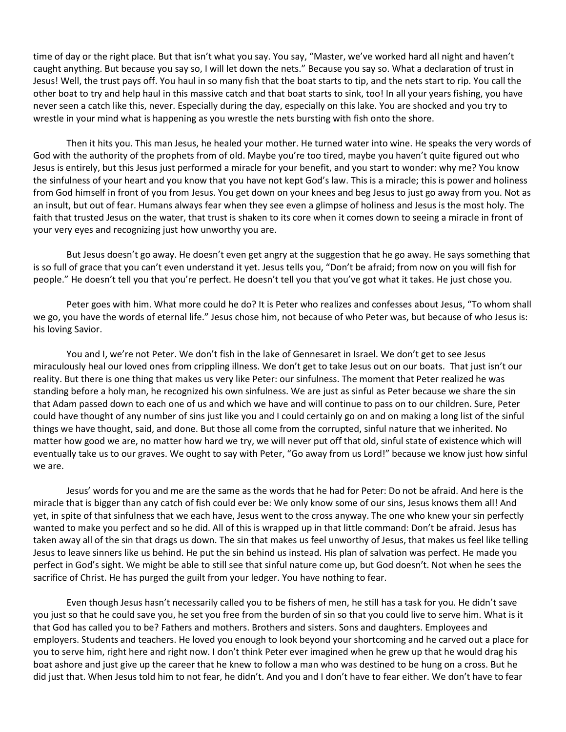time of day or the right place. But that isn't what you say. You say, "Master, we've worked hard all night and haven't caught anything. But because you say so, I will let down the nets." Because you say so. What a declaration of trust in Jesus! Well, the trust pays off. You haul in so many fish that the boat starts to tip, and the nets start to rip. You call the other boat to try and help haul in this massive catch and that boat starts to sink, too! In all your years fishing, you have never seen a catch like this, never. Especially during the day, especially on this lake. You are shocked and you try to wrestle in your mind what is happening as you wrestle the nets bursting with fish onto the shore.

Then it hits you. This man Jesus, he healed your mother. He turned water into wine. He speaks the very words of God with the authority of the prophets from of old. Maybe you're too tired, maybe you haven't quite figured out who Jesus is entirely, but this Jesus just performed a miracle for your benefit, and you start to wonder: why me? You know the sinfulness of your heart and you know that you have not kept God's law. This is a miracle; this is power and holiness from God himself in front of you from Jesus. You get down on your knees and beg Jesus to just go away from you. Not as an insult, but out of fear. Humans always fear when they see even a glimpse of holiness and Jesus is the most holy. The faith that trusted Jesus on the water, that trust is shaken to its core when it comes down to seeing a miracle in front of your very eyes and recognizing just how unworthy you are.

But Jesus doesn't go away. He doesn't even get angry at the suggestion that he go away. He says something that is so full of grace that you can't even understand it yet. Jesus tells you, "Don't be afraid; from now on you will fish for people." He doesn't tell you that you're perfect. He doesn't tell you that you've got what it takes. He just chose you.

Peter goes with him. What more could he do? It is Peter who realizes and confesses about Jesus, "To whom shall we go, you have the words of eternal life." Jesus chose him, not because of who Peter was, but because of who Jesus is: his loving Savior.

You and I, we're not Peter. We don't fish in the lake of Gennesaret in Israel. We don't get to see Jesus miraculously heal our loved ones from crippling illness. We don't get to take Jesus out on our boats. That just isn't our reality. But there is one thing that makes us very like Peter: our sinfulness. The moment that Peter realized he was standing before a holy man, he recognized his own sinfulness. We are just as sinful as Peter because we share the sin that Adam passed down to each one of us and which we have and will continue to pass on to our children. Sure, Peter could have thought of any number of sins just like you and I could certainly go on and on making a long list of the sinful things we have thought, said, and done. But those all come from the corrupted, sinful nature that we inherited. No matter how good we are, no matter how hard we try, we will never put off that old, sinful state of existence which will eventually take us to our graves. We ought to say with Peter, "Go away from us Lord!" because we know just how sinful we are.

Jesus' words for you and me are the same as the words that he had for Peter: Do not be afraid. And here is the miracle that is bigger than any catch of fish could ever be: We only know some of our sins, Jesus knows them all! And yet, in spite of that sinfulness that we each have, Jesus went to the cross anyway. The one who knew your sin perfectly wanted to make you perfect and so he did. All of this is wrapped up in that little command: Don't be afraid. Jesus has taken away all of the sin that drags us down. The sin that makes us feel unworthy of Jesus, that makes us feel like telling Jesus to leave sinners like us behind. He put the sin behind us instead. His plan of salvation was perfect. He made you perfect in God's sight. We might be able to still see that sinful nature come up, but God doesn't. Not when he sees the sacrifice of Christ. He has purged the guilt from your ledger. You have nothing to fear.

Even though Jesus hasn't necessarily called you to be fishers of men, he still has a task for you. He didn't save you just so that he could save you, he set you free from the burden of sin so that you could live to serve him. What is it that God has called you to be? Fathers and mothers. Brothers and sisters. Sons and daughters. Employees and employers. Students and teachers. He loved you enough to look beyond your shortcoming and he carved out a place for you to serve him, right here and right now. I don't think Peter ever imagined when he grew up that he would drag his boat ashore and just give up the career that he knew to follow a man who was destined to be hung on a cross. But he did just that. When Jesus told him to not fear, he didn't. And you and I don't have to fear either. We don't have to fear